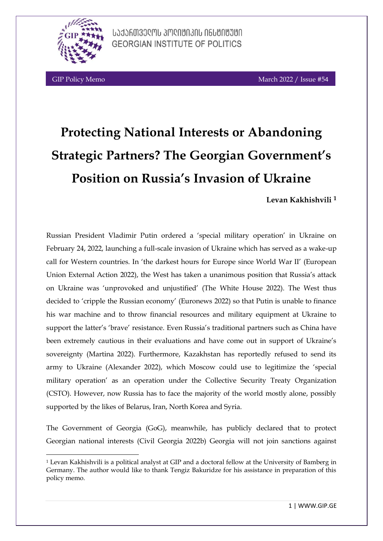

-

# **Protecting National Interests or Abandoning Strategic Partners? The Georgian Government's Position on Russia's Invasion of Ukraine**

ᲡᲐᲥᲐᲜᲗᲕᲔᲦᲝᲡ ᲞᲝᲦᲘᲪᲘᲙᲘᲡ ᲘᲜᲡᲪᲘᲪᲣᲪᲘ **GEORGIAN INSTITUTE OF POLITICS** 

**Levan Kakhishvili <sup>1</sup>**

Russian President Vladimir Putin ordered a 'special military operation' in Ukraine on February 24, 2022, launching a full-scale invasion of Ukraine which has served as a wake-up call for Western countries. In 'the darkest hours for Europe since World War II' (European Union External Action 2022), the West has taken a unanimous position that Russia's attack on Ukraine was 'unprovoked and unjustified' (The White House 2022). The West thus decided to 'cripple the Russian economy' (Euronews 2022) so that Putin is unable to finance his war machine and to throw financial resources and military equipment at Ukraine to support the latter's 'brave' resistance. Even Russia's traditional partners such as China have been extremely cautious in their evaluations and have come out in support of Ukraine's sovereignty (Martina 2022). Furthermore, Kazakhstan has reportedly refused to send its army to Ukraine (Alexander 2022), which Moscow could use to legitimize the 'special military operation' as an operation under the Collective Security Treaty Organization (CSTO). However, now Russia has to face the majority of the world mostly alone, possibly supported by the likes of Belarus, Iran, North Korea and Syria.

The Government of Georgia (GoG), meanwhile, has publicly declared that to protect Georgian national interests (Civil Georgia 2022b) Georgia will not join sanctions against

<sup>1</sup> Levan Kakhishvili is a political analyst at GIP and a doctoral fellow at the University of Bamberg in Germany. The author would like to thank Tengiz Bakuridze for his assistance in preparation of this policy memo.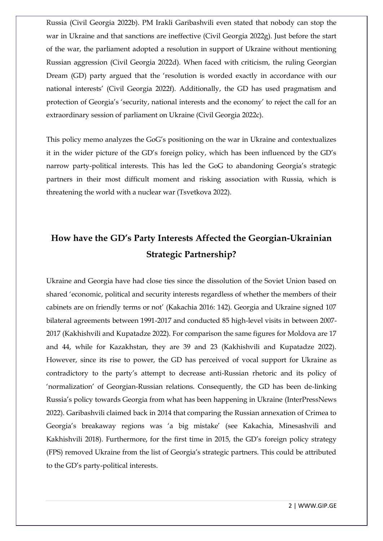Russia (Civil Georgia 2022b). PM Irakli Garibashvili even stated that nobody can stop the war in Ukraine and that sanctions are ineffective (Civil Georgia 2022g). Just before the start of the war, the parliament adopted a resolution in support of Ukraine without mentioning Russian aggression (Civil Georgia 2022d). When faced with criticism, the ruling Georgian Dream (GD) party argued that the 'resolution is worded exactly in accordance with our national interests' (Civil Georgia 2022f). Additionally, the GD has used pragmatism and protection of Georgia's 'security, national interests and the economy' to reject the call for an extraordinary session of parliament on Ukraine (Civil Georgia 2022c).

This policy memo analyzes the GoG's positioning on the war in Ukraine and contextualizes it in the wider picture of the GD's foreign policy, which has been influenced by the GD's narrow party-political interests. This has led the GoG to abandoning Georgia's strategic partners in their most difficult moment and risking association with Russia, which is threatening the world with a nuclear war (Tsvetkova 2022).

## **How have the GD's Party Interests Affected the Georgian-Ukrainian Strategic Partnership?**

Ukraine and Georgia have had close ties since the dissolution of the Soviet Union based on shared 'economic, political and security interests regardless of whether the members of their cabinets are on friendly terms or not' (Kakachia 2016: 142). Georgia and Ukraine signed 107 bilateral agreements between 1991-2017 and conducted 85 high-level visits in between 2007- 2017 (Kakhishvili and Kupatadze 2022). For comparison the same figures for Moldova are 17 and 44, while for Kazakhstan, they are 39 and 23 (Kakhishvili and Kupatadze 2022). However, since its rise to power, the GD has perceived of vocal support for Ukraine as contradictory to the party's attempt to decrease anti-Russian rhetoric and its policy of 'normalization' of Georgian-Russian relations. Consequently, the GD has been de-linking Russia's policy towards Georgia from what has been happening in Ukraine (InterPressNews 2022). Garibashvili claimed back in 2014 that comparing the Russian annexation of Crimea to Georgia's breakaway regions was 'a big mistake' (see Kakachia, Minesashvili and Kakhishvili 2018). Furthermore, for the first time in 2015, the GD's foreign policy strategy (FPS) removed Ukraine from the list of Georgia's strategic partners. This could be attributed to the GD's party-political interests.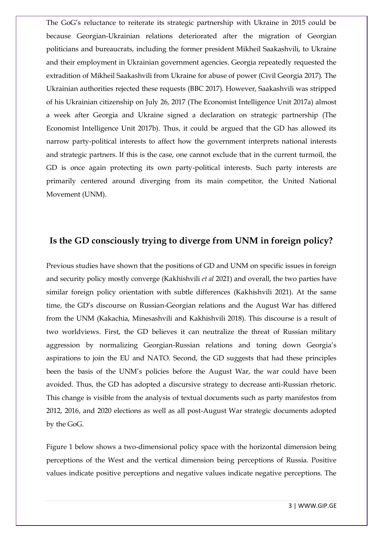The GoG's reluctance to reiterate its strategic partnership with Ukraine in 2015 could be because Georgian-Ukrainian relations deteriorated after the migration of Georgian politicians and bureaucrats, including the former president Mikheil Saakashvili, to Ukraine and their employment in Ukrainian government agencies. Georgia repeatedly requested the extradition of Mikheil Saakashvili from Ukraine for abuse of power (Civil Georgia 2017). The Ukrainian authorities rejected these requests (BBC 2017). However, Saakashvili was stripped of his Ukrainian citizenship on July 26, 2017 (The Economist Intelligence Unit 2017a) almost a week after Georgia and Ukraine signed a declaration on strategic partnership (The Economist Intelligence Unit 2017b). Thus, it could be argued that the GD has allowed its narrow party-political interests to affect how the government interprets national interests and strategic partners. If this is the case, one cannot exclude that in the current turmoil, the GD is once again protecting its own party-political interests. Such party interests are primarily centered around diverging from its main competitor, the United National Movement (UNM).

#### **Is the GD consciously trying to diverge from UNM in foreign policy?**

Previous studies have shown that the positions of GD and UNM on specific issues in foreign and security policy mostly converge (Kakhishvili *et al* 2021) and overall, the two parties have similar foreign policy orientation with subtle differences (Kakhishvili 2021). At the same time, the GD's discourse on Russian-Georgian relations and the August War has differed from the UNM (Kakachia, Minesashvili and Kakhishvili 2018). This discourse is a result of two worldviews. First, the GD believes it can neutralize the threat of Russian military aggression by normalizing Georgian-Russian relations and toning down Georgia's aspirations to join the EU and NATO. Second, the GD suggests that had these principles been the basis of the UNM's policies before the August War, the war could have been avoided. Thus, the GD has adopted a discursive strategy to decrease anti-Russian rhetoric. This change is visible from the analysis of textual documents such as party manifestos from 2012, 2016, and 2020 elections as well as all post-August War strategic documents adopted by the GoG.

Figure 1 below shows a two-dimensional policy space with the horizontal dimension being perceptions of the West and the vertical dimension being perceptions of Russia. Positive values indicate positive perceptions and negative values indicate negative perceptions. The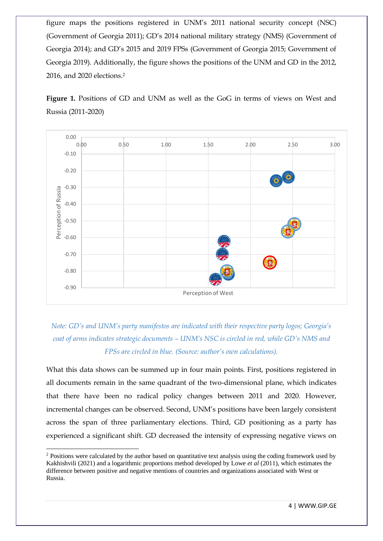figure maps the positions registered in UNM's 2011 national security concept (NSC) (Government of Georgia 2011); GD's 2014 national military strategy (NMS) (Government of Georgia 2014); and GD's 2015 and 2019 FPSs (Government of Georgia 2015; Government of Georgia 2019). Additionally, the figure shows the positions of the UNM and GD in the 2012, 2016, and 2020 elections.<sup>2</sup>

**Figure 1.** Positions of GD and UNM as well as the GoG in terms of views on West and Russia (2011-2020)





What this data shows can be summed up in four main points. First, positions registered in all documents remain in the same quadrant of the two-dimensional plane, which indicates that there have been no radical policy changes between 2011 and 2020. However, incremental changes can be observed. Second, UNM's positions have been largely consistent across the span of three parliamentary elections. Third, GD positioning as a party has experienced a significant shift. GD decreased the intensity of expressing negative views on

-

<sup>&</sup>lt;sup>2</sup> Positions were calculated by the author based on quantitative text analysis using the coding framework used by Kakhishvili (2021) and a logarithmic proportions method developed by Lowe *et al* (2011), which estimates the difference between positive and negative mentions of countries and organizations associated with West or Russia.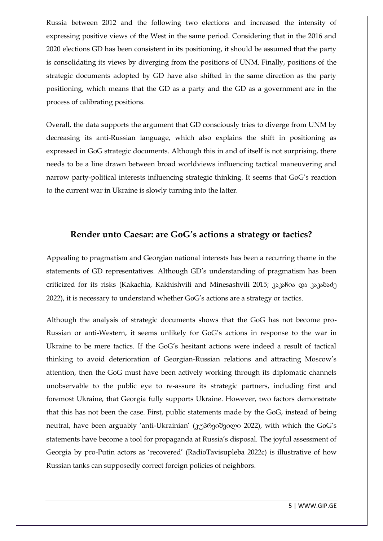Russia between 2012 and the following two elections and increased the intensity of expressing positive views of the West in the same period. Considering that in the 2016 and 2020 elections GD has been consistent in its positioning, it should be assumed that the party is consolidating its views by diverging from the positions of UNM. Finally, positions of the strategic documents adopted by GD have also shifted in the same direction as the party positioning, which means that the GD as a party and the GD as a government are in the process of calibrating positions.

Overall, the data supports the argument that GD consciously tries to diverge from UNM by decreasing its anti-Russian language, which also explains the shift in positioning as expressed in GoG strategic documents. Although this in and of itself is not surprising, there needs to be a line drawn between broad worldviews influencing tactical maneuvering and narrow party-political interests influencing strategic thinking. It seems that GoG's reaction to the current war in Ukraine is slowly turning into the latter.

### **Render unto Caesar: are GoG's actions a strategy or tactics?**

Appealing to pragmatism and Georgian national interests has been a recurring theme in the statements of GD representatives. Although GD's understanding of pragmatism has been criticized for its risks (Kakachia, Kakhishvili and Minesashvili 2015; კაკაჩია და კაკაბაძე 2022), it is necessary to understand whether GoG's actions are a strategy or tactics.

Although the analysis of strategic documents shows that the GoG has not become pro-Russian or anti-Western, it seems unlikely for GoG's actions in response to the war in Ukraine to be mere tactics. If the GoG's hesitant actions were indeed a result of tactical thinking to avoid deterioration of Georgian-Russian relations and attracting Moscow's attention, then the GoG must have been actively working through its diplomatic channels unobservable to the public eye to re-assure its strategic partners, including first and foremost Ukraine, that Georgia fully supports Ukraine. However, two factors demonstrate that this has not been the case. First, public statements made by the GoG, instead of being neutral, have been arguably 'anti-Ukrainian' (კუპრეიშვილი 2022), with which the GoG's statements have become a tool for propaganda at Russia's disposal. The joyful assessment of Georgia by pro-Putin actors as 'recovered' (RadioTavisupleba 2022c) is illustrative of how Russian tanks can supposedly correct foreign policies of neighbors.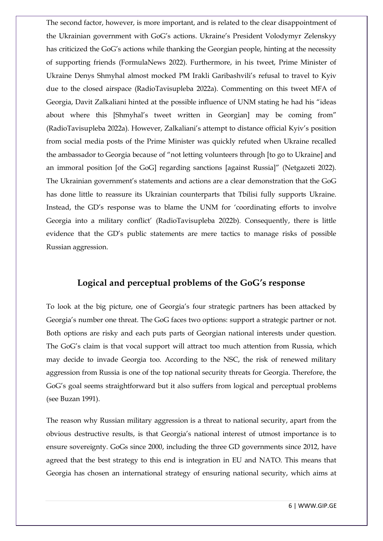The second factor, however, is more important, and is related to the clear disappointment of the Ukrainian government with GoG's actions. Ukraine's President Volodymyr Zelenskyy has criticized the GoG's actions while thanking the Georgian people, hinting at the necessity of supporting friends (FormulaNews 2022). Furthermore, in his tweet, Prime Minister of Ukraine Denys Shmyhal almost mocked PM Irakli Garibashvili's refusal to travel to Kyiv due to the closed airspace (RadioTavisupleba 2022a). Commenting on this tweet MFA of Georgia, Davit Zalkaliani hinted at the possible influence of UNM stating he had his "ideas about where this [Shmyhal's tweet written in Georgian] may be coming from" (RadioTavisupleba 2022a). However, Zalkaliani's attempt to distance official Kyiv's position from social media posts of the Prime Minister was quickly refuted when Ukraine recalled the ambassador to Georgia because of "not letting volunteers through [to go to Ukraine] and an immoral position [of the GoG] regarding sanctions [against Russia]" (Netgazeti 2022). The Ukrainian government's statements and actions are a clear demonstration that the GoG has done little to reassure its Ukrainian counterparts that Tbilisi fully supports Ukraine. Instead, the GD's response was to blame the UNM for 'coordinating efforts to involve Georgia into a military conflict' (RadioTavisupleba 2022b). Consequently, there is little evidence that the GD's public statements are mere tactics to manage risks of possible Russian aggression.

## **Logical and perceptual problems of the GoG's response**

To look at the big picture, one of Georgia's four strategic partners has been attacked by Georgia's number one threat. The GoG faces two options: support a strategic partner or not. Both options are risky and each puts parts of Georgian national interests under question. The GoG's claim is that vocal support will attract too much attention from Russia, which may decide to invade Georgia too. According to the NSC, the risk of renewed military aggression from Russia is one of the top national security threats for Georgia. Therefore, the GoG's goal seems straightforward but it also suffers from logical and perceptual problems (see Buzan 1991).

The reason why Russian military aggression is a threat to national security, apart from the obvious destructive results, is that Georgia's national interest of utmost importance is to ensure sovereignty. GoGs since 2000, including the three GD governments since 2012, have agreed that the best strategy to this end is integration in EU and NATO. This means that Georgia has chosen an international strategy of ensuring national security, which aims at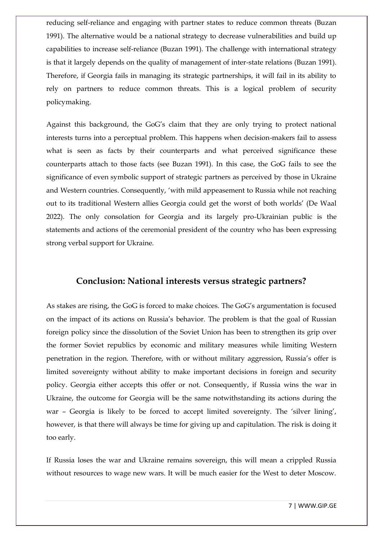reducing self-reliance and engaging with partner states to reduce common threats (Buzan 1991). The alternative would be a national strategy to decrease vulnerabilities and build up capabilities to increase self-reliance (Buzan 1991). The challenge with international strategy is that it largely depends on the quality of management of inter-state relations (Buzan 1991). Therefore, if Georgia fails in managing its strategic partnerships, it will fail in its ability to rely on partners to reduce common threats. This is a logical problem of security policymaking.

Against this background, the GoG's claim that they are only trying to protect national interests turns into a perceptual problem. This happens when decision-makers fail to assess what is seen as facts by their counterparts and what perceived significance these counterparts attach to those facts (see Buzan 1991). In this case, the GoG fails to see the significance of even symbolic support of strategic partners as perceived by those in Ukraine and Western countries. Consequently, 'with mild appeasement to Russia while not reaching out to its traditional Western allies Georgia could get the worst of both worlds' (De Waal 2022). The only consolation for Georgia and its largely pro-Ukrainian public is the statements and actions of the ceremonial president of the country who has been expressing strong verbal support for Ukraine.

### **Conclusion: National interests versus strategic partners?**

As stakes are rising, the GoG is forced to make choices. The GoG's argumentation is focused on the impact of its actions on Russia's behavior. The problem is that the goal of Russian foreign policy since the dissolution of the Soviet Union has been to strengthen its grip over the former Soviet republics by economic and military measures while limiting Western penetration in the region. Therefore, with or without military aggression, Russia's offer is limited sovereignty without ability to make important decisions in foreign and security policy. Georgia either accepts this offer or not. Consequently, if Russia wins the war in Ukraine, the outcome for Georgia will be the same notwithstanding its actions during the war – Georgia is likely to be forced to accept limited sovereignty. The 'silver lining', however, is that there will always be time for giving up and capitulation. The risk is doing it too early.

If Russia loses the war and Ukraine remains sovereign, this will mean a crippled Russia without resources to wage new wars. It will be much easier for the West to deter Moscow.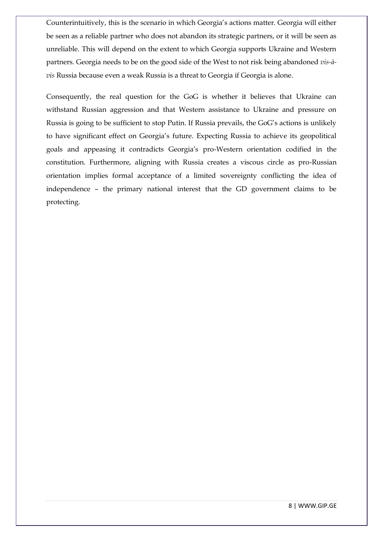Counterintuitively, this is the scenario in which Georgia's actions matter. Georgia will either be seen as a reliable partner who does not abandon its strategic partners, or it will be seen as unreliable. This will depend on the extent to which Georgia supports Ukraine and Western partners. Georgia needs to be on the good side of the West to not risk being abandoned *vis-àvis* Russia because even a weak Russia is a threat to Georgia if Georgia is alone.

Consequently, the real question for the GoG is whether it believes that Ukraine can withstand Russian aggression and that Western assistance to Ukraine and pressure on Russia is going to be sufficient to stop Putin. If Russia prevails, the GoG's actions is unlikely to have significant effect on Georgia's future. Expecting Russia to achieve its geopolitical goals and appeasing it contradicts Georgia's pro-Western orientation codified in the constitution. Furthermore, aligning with Russia creates a viscous circle as pro-Russian orientation implies formal acceptance of a limited sovereignty conflicting the idea of independence – the primary national interest that the GD government claims to be protecting.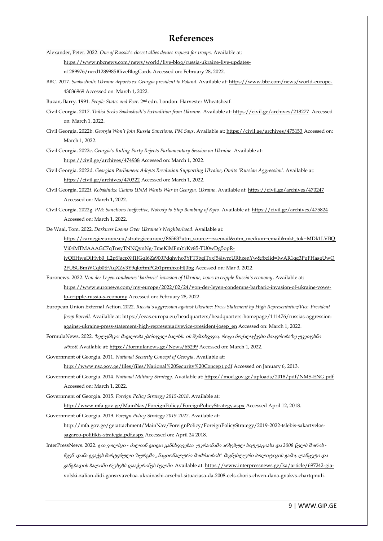#### **References**

Alexander, Peter. 2022. *One of Russia's closest allies denies request for troops*. Available at:

[https://www.nbcnews.com/news/world/live-blog/russia-ukraine-live-updates-](https://www.nbcnews.com/news/world/live-blog/russia-ukraine-live-updates-n1289976/ncrd1289985#liveBlogCards)

[n1289976/ncrd1289985#liveBlogCards](https://www.nbcnews.com/news/world/live-blog/russia-ukraine-live-updates-n1289976/ncrd1289985#liveBlogCards) Accessed on: February 28, 2022.

BBC. 2017. *Saakashvili: Ukraine deports ex-Georgia president to Poland*. Available at[: https://www.bbc.com/news/world-europe-](https://www.bbc.com/news/world-europe-43036969)[43036969](https://www.bbc.com/news/world-europe-43036969) Accessed on: March 1, 2022.

Buzan, Barry. 1991. *People States and Fear*. 2nd edn. London: Harvester Wheatsheaf.

Civil Georgia. 2017. *Tbilisi Seeks Saakashvili's Extradition from Ukraine*. Available at[: https://civil.ge/archives/218277](https://civil.ge/archives/218277) Accessed on: March 1, 2022.

Civil Georgia. 2022b. *Georgia Won't Join Russia Sanctions, PM Says*. Available at[: https://civil.ge/archives/475153](https://civil.ge/archives/475153) Accessed on: March 1, 2022.

Civil Georgia. 2022c. *Georgia's Ruling Party Rejects Parliamentary Session on Ukraine*. Available at: <https://civil.ge/archives/474938> Accessed on: March 1, 2022.

- Civil Georgia. 2022d. *Georgian Parliament Adopts Resolution Supporting Ukraine, Omits 'Russian Aggression'*. Available at: <https://civil.ge/archives/470322> Accessed on: March 1, 2022.
- Civil Georgia. 2022f. *Kobakhidze Claims UNM Wants War in Georgia, Ukraine*. Available at[: https://civil.ge/archives/470247](https://civil.ge/archives/470247) Accessed on: March 1, 2022.
- Civil Georgia. 2022g. *PM: Sanctions Ineffective, Nobody to Stop Bombing of Kyiv*. Available at:<https://civil.ge/archives/475824> Accessed on: March 1, 2022.
- De Waal, Tom. 2022. *Darkness Looms Over Ukraine's Neighborhood*. Available at: [https://carnegieeurope.eu/strategiceurope/86563?utm\\_source=rssemail&utm\\_medium=email&mkt\\_tok=MDk1LVBQ](https://carnegieeurope.eu/strategiceurope/86563?utm_source=rssemail&utm_medium=email&mkt_tok=MDk1LVBQVi04MTMAAAGC7qTnsyTNNQynNg-TmeKlMFmYrKv85-TU0wDg5opR-iyQEHweDiHvb0_L2pSJacpXjI1JGqI6Zs900Pdqhvho3YFT3bgiTxxJ54iwrcURhzenYw&fbclid=IwAR1qg3PqFHasgUwQ2FUSGBmWCqb0tFAqXZy3Y9qloftmPGb1prmhxoHJ0bg) [Vi04MTMAAAGC7qTnsyTNNQynNg-TmeKlMFmYrKv85-TU0wDg5opR-](https://carnegieeurope.eu/strategiceurope/86563?utm_source=rssemail&utm_medium=email&mkt_tok=MDk1LVBQVi04MTMAAAGC7qTnsyTNNQynNg-TmeKlMFmYrKv85-TU0wDg5opR-iyQEHweDiHvb0_L2pSJacpXjI1JGqI6Zs900Pdqhvho3YFT3bgiTxxJ54iwrcURhzenYw&fbclid=IwAR1qg3PqFHasgUwQ2FUSGBmWCqb0tFAqXZy3Y9qloftmPGb1prmhxoHJ0bg)

[iyQEHweDiHvb0\\_L2pSJacpXjI1JGqI6Zs900Pdqhvho3YFT3bgiTxxJ54iwrcURhzenYw&fbclid=IwAR1qg3PqFHasgUwQ](https://carnegieeurope.eu/strategiceurope/86563?utm_source=rssemail&utm_medium=email&mkt_tok=MDk1LVBQVi04MTMAAAGC7qTnsyTNNQynNg-TmeKlMFmYrKv85-TU0wDg5opR-iyQEHweDiHvb0_L2pSJacpXjI1JGqI6Zs900Pdqhvho3YFT3bgiTxxJ54iwrcURhzenYw&fbclid=IwAR1qg3PqFHasgUwQ2FUSGBmWCqb0tFAqXZy3Y9qloftmPGb1prmhxoHJ0bg) [2FUSGBmWCqb0tFAqXZy3Y9qloftmPGb1prmhxoHJ0bg](https://carnegieeurope.eu/strategiceurope/86563?utm_source=rssemail&utm_medium=email&mkt_tok=MDk1LVBQVi04MTMAAAGC7qTnsyTNNQynNg-TmeKlMFmYrKv85-TU0wDg5opR-iyQEHweDiHvb0_L2pSJacpXjI1JGqI6Zs900Pdqhvho3YFT3bgiTxxJ54iwrcURhzenYw&fbclid=IwAR1qg3PqFHasgUwQ2FUSGBmWCqb0tFAqXZy3Y9qloftmPGb1prmhxoHJ0bg) Accessed on: Mar 3, 2022.

- Euronews. 2022. V*on der Leyen condemns 'barbaric' invasion of Ukraine, vows to cripple Russia's economy*. Available at: [https://www.euronews.com/my-europe/2022/02/24/von-der-leyen-condemns-barbaric-invasion-of-ukraine-vows](https://www.euronews.com/my-europe/2022/02/24/von-der-leyen-condemns-barbaric-invasion-of-ukraine-vows-to-cripple-russia-s-economy)[to-cripple-russia-s-economy](https://www.euronews.com/my-europe/2022/02/24/von-der-leyen-condemns-barbaric-invasion-of-ukraine-vows-to-cripple-russia-s-economy) Accessed on: February 28, 2022.
- European Union External Action. 2022. *Russia's aggression against Ukraine: Press Statement by High Representative/Vice-President Josep Borrell*. Available at[: https://eeas.europa.eu/headquarters/headquarters-homepage/111476/russias-aggression](https://eeas.europa.eu/headquarters/headquarters-homepage/111476/russias-aggression-against-ukraine-press-statement-high-representativevice-president-josep_en)[against-ukraine-press-statement-high-representativevice-president-josep\\_en](https://eeas.europa.eu/headquarters/headquarters-homepage/111476/russias-aggression-against-ukraine-press-statement-high-representativevice-president-josep_en) Accessed on: March 1, 2022.
- FormulaNews. 2022. ზელენსკი*:* მადლობა ქართველ ხალხს*,* ის შემთხვევაა*,* როცა მოქალაქეები მთავრობაზე უკეთესნი არიან. Available at[: https://formulanews.ge/News/65299](https://formulanews.ge/News/65299) Accessed on: March 1, 2022.

Government of Georgia. 2011. *National Security Concept of Georgia*. Available at:

<http://www.nsc.gov.ge/files/files/National%20Security%20Concept.pdf> Accessed on January 6, 2013.

Government of Georgia. 2014. *National Military Strategy*. Available at[: https://mod.gov.ge/uploads/2018/pdf/NMS-ENG.pdf](https://mod.gov.ge/uploads/2018/pdf/NMS-ENG.pdf) Accessed on: March 1, 2022.

Government of Georgia. 2015. *Foreign Policy Strategy 2015-2018*. Available at:

<http://www.mfa.gov.ge/MainNav/ForeignPolicy/ForeignPolicyStrategy.aspx> Accessed April 12, 2018.

Government of Georgia. 2019. *Foreign Policy Strategy 2019-2022*. Available at:

[http://mfa.gov.ge/getattachment/MainNav/ForeignPolicy/ForeignPolicyStrategy/2019-2022-tslebis-sakartvelos](http://mfa.gov.ge/getattachment/MainNav/ForeignPolicy/ForeignPolicyStrategy/2019-2022-tslebis-sakartvelos-sagareo-politikis-strategia.pdf.aspx)[sagareo-politikis-strategia.pdf.aspx](http://mfa.gov.ge/getattachment/MainNav/ForeignPolicy/ForeignPolicyStrategy/2019-2022-tslebis-sakartvelos-sagareo-politikis-strategia.pdf.aspx) Accessed on: April 24 2018.

InterPressNews. 2022. გია ვოლსკი *-* ძალიან დიდი განსხვავებააუკრაინაში არსებულ სიტუაციასა და *2008* წელს შორის  ჩვენდანა გვაქვს ჩარტყმული ზურგში *"*ნაციონალური მოძრაობის*"* მავნებლური პოლიტიკის გამო*,* ლანცეტი და ჟანგბადის ბალიში რუსებს დააჭერინეს ხელში. Available at[: https://www.interpressnews.ge/ka/article/697242-gia](https://www.interpressnews.ge/ka/article/697242-gia-volski-zalian-didi-gansxvavebaa-ukrainashi-arsebul-situaciasa-da-2008-cels-shoris-chven-dana-gvakvs-chartqmuli-zurgshi-nacionaluri-mozraobis-mavnebluri-politikis-gamo-lanceti-da-zhangbadis-balishi-rusebs-daacherines-xelshi)[volski-zalian-didi-gansxvavebaa-ukrainashi-arsebul-situaciasa-da-2008-cels-shoris-chven-dana-gvakvs-chartqmuli-](https://www.interpressnews.ge/ka/article/697242-gia-volski-zalian-didi-gansxvavebaa-ukrainashi-arsebul-situaciasa-da-2008-cels-shoris-chven-dana-gvakvs-chartqmuli-zurgshi-nacionaluri-mozraobis-mavnebluri-politikis-gamo-lanceti-da-zhangbadis-balishi-rusebs-daacherines-xelshi)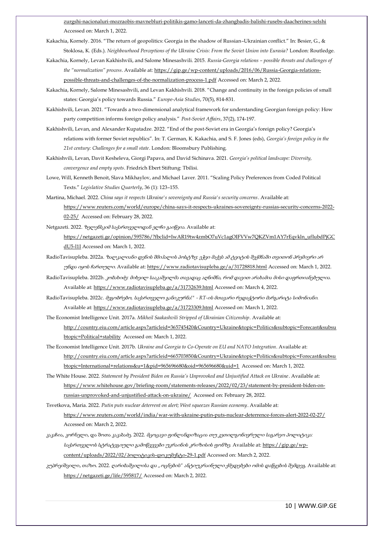[zurgshi-nacionaluri-mozraobis-mavnebluri-politikis-gamo-lanceti-da-zhangbadis-balishi-rusebs-daacherines-xelshi](https://www.interpressnews.ge/ka/article/697242-gia-volski-zalian-didi-gansxvavebaa-ukrainashi-arsebul-situaciasa-da-2008-cels-shoris-chven-dana-gvakvs-chartqmuli-zurgshi-nacionaluri-mozraobis-mavnebluri-politikis-gamo-lanceti-da-zhangbadis-balishi-rusebs-daacherines-xelshi) Accessed on: March 1, 2022.

- Kakachia, Kornely. 2016. "The return of geopolitics: Georgia in the shadow of Russian–Ukrainian conflict." In: Besier, G., & Stoklosa, K. (Eds.). *Neighbourhood Perceptions of the Ukraine Crisis: From the Soviet Union into Eurasia?* London: Routledge.
- Kakachia, Kornely, Levan Kakhishvili, and Salome Minesashvili. 2015. *Russia-Georgia relations – possible threats and challenges of the "normalization" process*. Available at[: https://gip.ge/wp-content/uploads/2016/06/Russia-Georgia-relations](https://gip.ge/wp-content/uploads/2016/06/Russia-Georgia-relations-possible-threats-and-challenges-of-the-normalization-process-1.pdf)[possible-threats-and-challenges-of-the-normalization-process-1.pdf](https://gip.ge/wp-content/uploads/2016/06/Russia-Georgia-relations-possible-threats-and-challenges-of-the-normalization-process-1.pdf) Accessed on: March 2, 2022.
- Kakachia, Kornely, Salome Minesashvili, and Levan Kakhishvili. 2018. "Change and continuity in the foreign policies of small states: Georgia's policy towards Russia." *Europe-Asia Studies*, 70(5), 814-831.
- Kakhishvili, Levan. 2021. "Towards a two-dimensional analytical framework for understanding Georgian foreign policy: How party competition informs foreign policy analysis." *Post-Soviet Affairs*, 37(2), 174-197.
- Kakhishvili, Levan, and Alexander Kupatadze. 2022. "End of the post-Soviet era in Georgia's foreign policy? Georgia's relations with former Soviet republics". In: T. German, K. Kakachia, and S. F. Jones (eds), *Georgia's foreign policy in the 21st century: Challenges for a small state*. London: Bloomsbury Publishing.
- Kakhishvili, Levan, Davit Kesheleva, Giorgi Papava, and David Sichinava. 2021. *Georgia's political landscape: Diversity, convergence and empty spots*. Friedrich Ebert Stiftung: Tbilisi.
- Lowe, Will, Kenneth Benoit, Slava Mikhaylov, and Michael Laver. 2011. "Scaling Policy Preferences from Coded Political Texts." *Legislative Studies Quarterly*, 36 (1): 123–155.
- Martina, Michael. 2022. *China says it respects Ukraine's sovereignty and Russia's security concerns*. Available at: [https://www.reuters.com/world/europe/china-says-it-respects-ukraines-sovereignty-russias-security-concerns-2022-](https://www.reuters.com/world/europe/china-says-it-respects-ukraines-sovereignty-russias-security-concerns-2022-02-25/) [02-25/](https://www.reuters.com/world/europe/china-says-it-respects-ukraines-sovereignty-russias-security-concerns-2022-02-25/) Accessed on: February 28, 2022.
- Netgazeti. 2022. ზელენსკიმ საქართველოდან ელჩი გაიწვია. Available at: [https://netgazeti.ge/opinion/595786/?fbclid=IwAR19tw4zmbO7uVc1agOIFVVw7QKZVm1AY7rEqvkln\\_ufIubdPjGC](https://netgazeti.ge/opinion/595786/?fbclid=IwAR19tw4zmbO7uVc1agOIFVVw7QKZVm1AY7rEqvkln_ufIubdPjGCdU5-l1I) [dU5-l1I](https://netgazeti.ge/opinion/595786/?fbclid=IwAR19tw4zmbO7uVc1agOIFVVw7QKZVm1AY7rEqvkln_ufIubdPjGCdU5-l1I) Accessed on: March 1, 2022.
- RadioTavisupleba. 2022a. ზალკალიანი დენის შმიჰალის პოსტზე*:* ეჭვი მაქვს ამ ტვიტის შექმნაში თვითონ პრემიერი არ უნდა იყოს ჩართული. Available at[: https://www.radiotavisupleba.ge/a/31728818.html](https://www.radiotavisupleba.ge/a/31728818.html) Accessed on: March 1, 2022.
- RadioTavisupleba. 2022b. კობახიძე*:* მიხეილ სააკაშვილმა თავადაც აღნიშნა*,* რომ დავით არახამია მისი დაფრთიანებულია. Available at[: https://www.radiotavisupleba.ge/a/31732639.html](https://www.radiotavisupleba.ge/a/31732639.html) Accessed on: March 4, 2022.
- RadioTavisupleba. 2022c. მეგობრებო*,* საქართველო განიკურნა*!" - RT-*ის მთავარი რედაქტორი მარგარიტა სიმონიანი. Available at[: https://www.radiotavisupleba.ge/a/31723309.html](https://www.radiotavisupleba.ge/a/31723309.html) Accessed on: March 1, 2022.
- The Economist Intelligence Unit. 2017a. *Mikheil Saakashvili Stripped of Ukrainian Citizenship*. Available at: [http://country.eiu.com/article.aspx?articleid=365745420&Country=Ukraine&topic=Politics&subtopic=Forecast&subsu](http://country.eiu.com/article.aspx?articleid=365745420&Country=Ukraine&topic=Politics&subtopic=Forecast&subsubtopic=Political+stability) [btopic=Political+stability](http://country.eiu.com/article.aspx?articleid=365745420&Country=Ukraine&topic=Politics&subtopic=Forecast&subsubtopic=Political+stability) Accessed on: March 1, 2022.
- The Economist Intelligence Unit. 2017b. *Ukraine and Georgia to Co-Operate on EU and NATO Integration*. Available at: [http://country.eiu.com/article.aspx?articleid=665703850&Country=Ukraine&topic=Politics&subtopic=Forecast&subsu](http://country.eiu.com/article.aspx?articleid=665703850&Country=Ukraine&topic=Politics&subtopic=Forecast&subsubtopic=International+relations&u=1&pid=965696680&oid=965696680&uid=1) [btopic=International+relations&u=1&pid=965696680&oid=965696680&uid=1](http://country.eiu.com/article.aspx?articleid=665703850&Country=Ukraine&topic=Politics&subtopic=Forecast&subsubtopic=International+relations&u=1&pid=965696680&oid=965696680&uid=1) Accessed on: March 1, 2022.
- The White House. 2022. *Statement by President Biden on Russia's Unprovoked and Unjustified Attack on Ukraine*. Available at: [https://www.whitehouse.gov/briefing-room/statements-releases/2022/02/23/statement-by-president-biden-on](https://www.whitehouse.gov/briefing-room/statements-releases/2022/02/23/statement-by-president-biden-on-russias-unprovoked-and-unjustified-attack-on-ukraine/)[russias-unprovoked-and-unjustified-attack-on-ukraine/](https://www.whitehouse.gov/briefing-room/statements-releases/2022/02/23/statement-by-president-biden-on-russias-unprovoked-and-unjustified-attack-on-ukraine/) Accessed on: February 28, 2022.

Tsvetkova, Maria. 2022. *Putin puts nuclear deterrent on alert; West squeezes Russian economy*. Available at: <https://www.reuters.com/world/india/war-with-ukraine-putin-puts-nuclear-deterrence-forces-alert-2022-02-27/> Accessed on: March 2, 2022.

- კაკაჩია, კორნელი, და შოთა კაკაბაძე. 2022. მცოცავი ფინლანდიზაცია თუ კეთილგონივრული საგარეო პოლიტიკა*:*  საქართველოს სტრატეგიული გამოწვევები უკრაინის კრიზისის ფონზე. Available at[: https://gip.ge/wp](https://gip.ge/wp-content/uploads/2022/02/პოლიტიკის-დოკუმენტი-29-1.pdf)[content/uploads/2022/02/](https://gip.ge/wp-content/uploads/2022/02/პოლიტიკის-დოკუმენტი-29-1.pdf)პოლიტიკის-დოკუმენტი-29-1.pdf Accessed on: March 2, 2022.
- კუპრეიშვილი, თაზო. 2022. ღარიბაშვილისა და *"*ოცნების*"* ანტიუკრაინული ქმედებები ომის დაწყების შემდეგ. Available at: <https://netgazeti.ge/life/595817/> Accessed on: March 2, 2022.